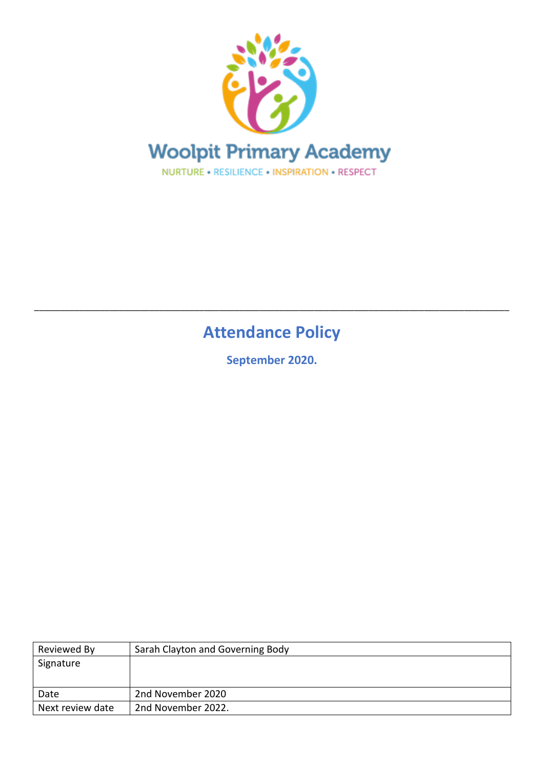

# **Attendance Policy**

\_\_\_\_\_\_\_\_\_\_\_\_\_\_\_\_\_\_\_\_\_\_\_\_\_\_\_\_\_\_\_\_\_\_\_\_\_\_\_\_\_\_\_\_\_\_\_\_\_\_\_\_\_\_\_\_\_\_\_\_\_\_\_\_\_\_\_\_\_\_\_\_\_\_\_\_\_\_\_\_\_\_\_\_\_\_\_\_\_\_\_\_\_\_\_

**September 2020.**

| Reviewed By      | Sarah Clayton and Governing Body |
|------------------|----------------------------------|
| Signature        |                                  |
|                  |                                  |
| Date             | 2nd November 2020                |
| Next review date | 2nd November 2022.               |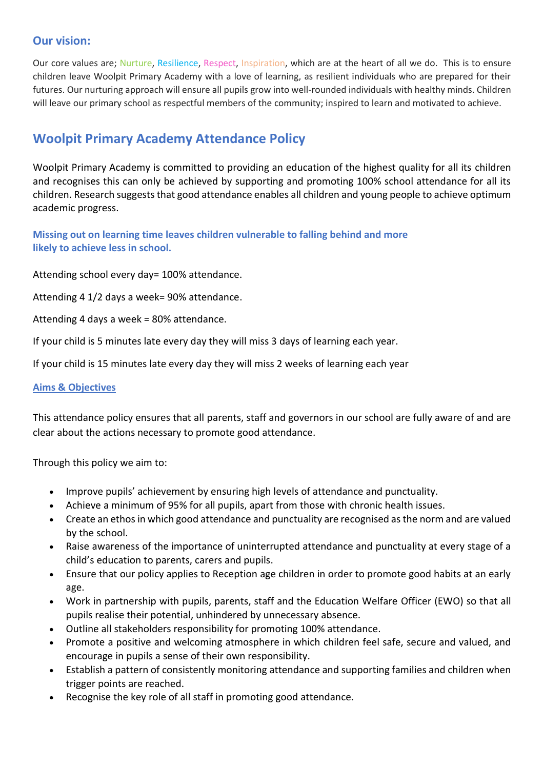### **Our vision:**

Our core values are; Nurture, Resilience, Respect, Inspiration, which are at the heart of all we do. This is to ensure children leave Woolpit Primary Academy with a love of learning, as resilient individuals who are prepared for their futures. Our nurturing approach will ensure all pupils grow into well-rounded individuals with healthy minds. Children will leave our primary school as respectful members of the community; inspired to learn and motivated to achieve.

## **Woolpit Primary Academy Attendance Policy**

Woolpit Primary Academy is committed to providing an education of the highest quality for all its children and recognises this can only be achieved by supporting and promoting 100% school attendance for all its children. Research suggests that good attendance enables all children and young people to achieve optimum academic progress.

**Missing out on learning time leaves children vulnerable to falling behind and more likely to achieve less in school.**

Attending school every day= 100% attendance.

Attending 4 1/2 days a week= 90% attendance.

Attending 4 days a week = 80% attendance.

If your child is 5 minutes late every day they will miss 3 days of learning each year.

If your child is 15 minutes late every day they will miss 2 weeks of learning each year

#### **Aims & Objectives**

This attendance policy ensures that all parents, staff and governors in our school are fully aware of and are clear about the actions necessary to promote good attendance.

Through this policy we aim to:

- Improve pupils' achievement by ensuring high levels of attendance and punctuality.
- Achieve a minimum of 95% for all pupils, apart from those with chronic health issues.
- Create an ethos in which good attendance and punctuality are recognised as the norm and are valued by the school.
- Raise awareness of the importance of uninterrupted attendance and punctuality at every stage of a child's education to parents, carers and pupils.
- Ensure that our policy applies to Reception age children in order to promote good habits at an early age.
- Work in partnership with pupils, parents, staff and the Education Welfare Officer (EWO) so that all pupils realise their potential, unhindered by unnecessary absence.
- Outline all stakeholders responsibility for promoting 100% attendance.
- Promote a positive and welcoming atmosphere in which children feel safe, secure and valued, and encourage in pupils a sense of their own responsibility.
- Establish a pattern of consistently monitoring attendance and supporting families and children when trigger points are reached.
- Recognise the key role of all staff in promoting good attendance.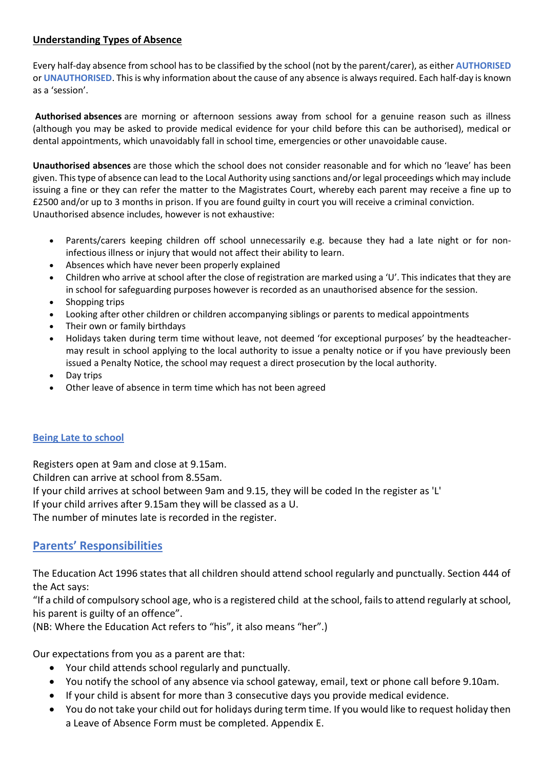### **Understanding Types of Absence**

Every half-day absence from school has to be classified by the school (not by the parent/carer), as either **AUTHORISED** or **UNAUTHORISED**. This is why information about the cause of any absence is always required. Each half-day is known as a 'session'.

**Authorised absences** are morning or afternoon sessions away from school for a genuine reason such as illness (although you may be asked to provide medical evidence for your child before this can be authorised), medical or dental appointments, which unavoidably fall in school time, emergencies or other unavoidable cause.

**Unauthorised absences** are those which the school does not consider reasonable and for which no 'leave' has been given. This type of absence can lead to the Local Authority using sanctions and/or legal proceedings which may include issuing a fine or they can refer the matter to the Magistrates Court, whereby each parent may receive a fine up to £2500 and/or up to 3 months in prison. If you are found guilty in court you will receive a criminal conviction. Unauthorised absence includes, however is not exhaustive:

- Parents/carers keeping children off school unnecessarily e.g. because they had a late night or for noninfectious illness or injury that would not affect their ability to learn.
- Absences which have never been properly explained
- Children who arrive at school after the close of registration are marked using a 'U'. This indicates that they are in school for safeguarding purposes however is recorded as an unauthorised absence for the session.
- Shopping trips
- Looking after other children or children accompanying siblings or parents to medical appointments
- Their own or family birthdays
- Holidays taken during term time without leave, not deemed 'for exceptional purposes' by the headteachermay result in school applying to the local authority to issue a penalty notice or if you have previously been issued a Penalty Notice, the school may request a direct prosecution by the local authority.
- Day trips
- Other leave of absence in term time which has not been agreed

### **Being Late to school**

Registers open at 9am and close at 9.15am.

Children can arrive at school from 8.55am.

If your child arrives at school between 9am and 9.15, they will be coded In the register as 'L'

If your child arrives after 9.15am they will be classed as a U.

The number of minutes late is recorded in the register.

### **Parents' Responsibilities**

The Education Act 1996 states that all children should attend school regularly and punctually. Section 444 of the Act says:

"If a child of compulsory school age, who is a registered child at the school, fails to attend regularly at school, his parent is guilty of an offence".

(NB: Where the Education Act refers to "his", it also means "her".)

Our expectations from you as a parent are that:

- Your child attends school regularly and punctually.
- You notify the school of any absence via school gateway, email, text or phone call before 9.10am.
- If your child is absent for more than 3 consecutive days you provide medical evidence.
- You do not take your child out for holidays during term time. If you would like to request holiday then a Leave of Absence Form must be completed. Appendix E.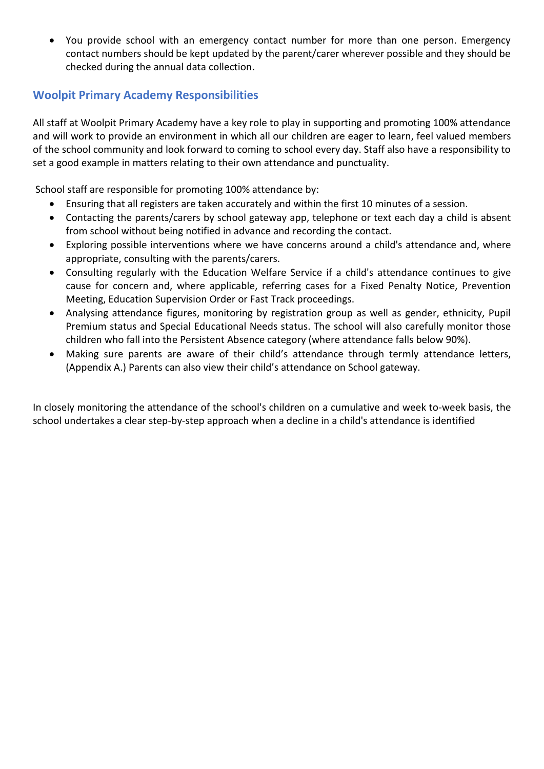• You provide school with an emergency contact number for more than one person. Emergency contact numbers should be kept updated by the parent/carer wherever possible and they should be checked during the annual data collection.

### **Woolpit Primary Academy Responsibilities**

All staff at Woolpit Primary Academy have a key role to play in supporting and promoting 100% attendance and will work to provide an environment in which all our children are eager to learn, feel valued members of the school community and look forward to coming to school every day. Staff also have a responsibility to set a good example in matters relating to their own attendance and punctuality.

School staff are responsible for promoting 100% attendance by:

- Ensuring that all registers are taken accurately and within the first 10 minutes of a session.
- Contacting the parents/carers by school gateway app, telephone or text each day a child is absent from school without being notified in advance and recording the contact.
- Exploring possible interventions where we have concerns around a child's attendance and, where appropriate, consulting with the parents/carers.
- Consulting regularly with the Education Welfare Service if a child's attendance continues to give cause for concern and, where applicable, referring cases for a Fixed Penalty Notice, Prevention Meeting, Education Supervision Order or Fast Track proceedings.
- Analysing attendance figures, monitoring by registration group as well as gender, ethnicity, Pupil Premium status and Special Educational Needs status. The school will also carefully monitor those children who fall into the Persistent Absence category (where attendance falls below 90%).
- Making sure parents are aware of their child's attendance through termly attendance letters, (Appendix A.) Parents can also view their child's attendance on School gateway.

In closely monitoring the attendance of the school's children on a cumulative and week to-week basis, the school undertakes a clear step-by-step approach when a decline in a child's attendance is identified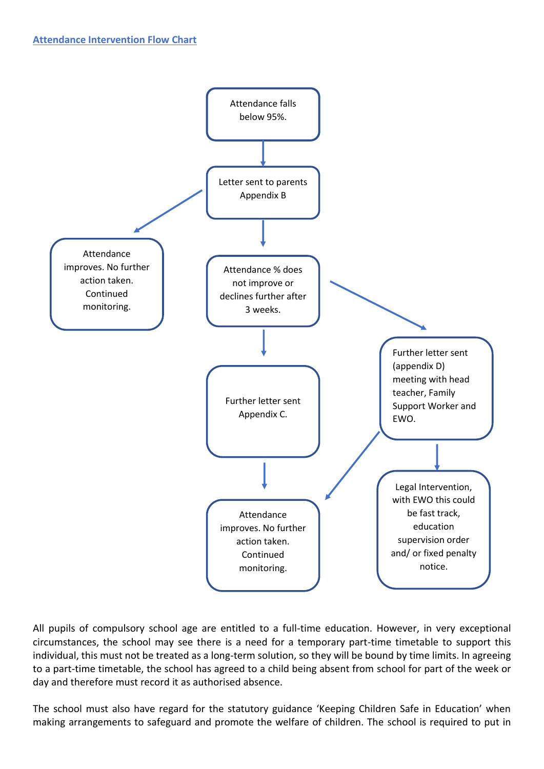

All pupils of compulsory school age are entitled to a full-time education. However, in very exceptional circumstances, the school may see there is a need for a temporary part-time timetable to support this individual, this must not be treated as a long-term solution, so they will be bound by time limits. In agreeing to a part-time timetable, the school has agreed to a child being absent from school for part of the week or day and therefore must record it as authorised absence.

The school must also have regard for the statutory guidance 'Keeping Children Safe in Education' when making arrangements to safeguard and promote the welfare of children. The school is required to put in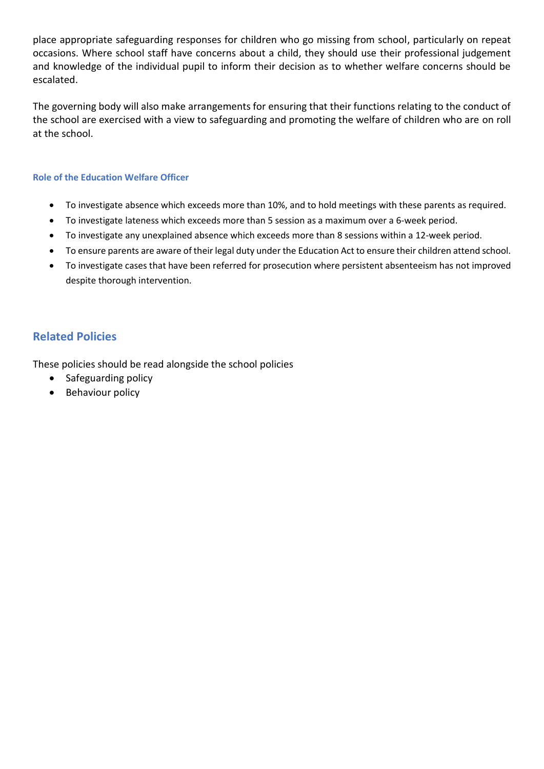place appropriate safeguarding responses for children who go missing from school, particularly on repeat occasions. Where school staff have concerns about a child, they should use their professional judgement and knowledge of the individual pupil to inform their decision as to whether welfare concerns should be escalated.

The governing body will also make arrangements for ensuring that their functions relating to the conduct of the school are exercised with a view to safeguarding and promoting the welfare of children who are on roll at the school.

#### **Role of the Education Welfare Officer**

- To investigate absence which exceeds more than 10%, and to hold meetings with these parents as required.
- To investigate lateness which exceeds more than 5 session as a maximum over a 6-week period.
- To investigate any unexplained absence which exceeds more than 8 sessions within a 12-week period.
- To ensure parents are aware of their legal duty under the Education Act to ensure their children attend school.
- To investigate cases that have been referred for prosecution where persistent absenteeism has not improved despite thorough intervention.

### **Related Policies**

These policies should be read alongside the school policies

- Safeguarding policy
- Behaviour policy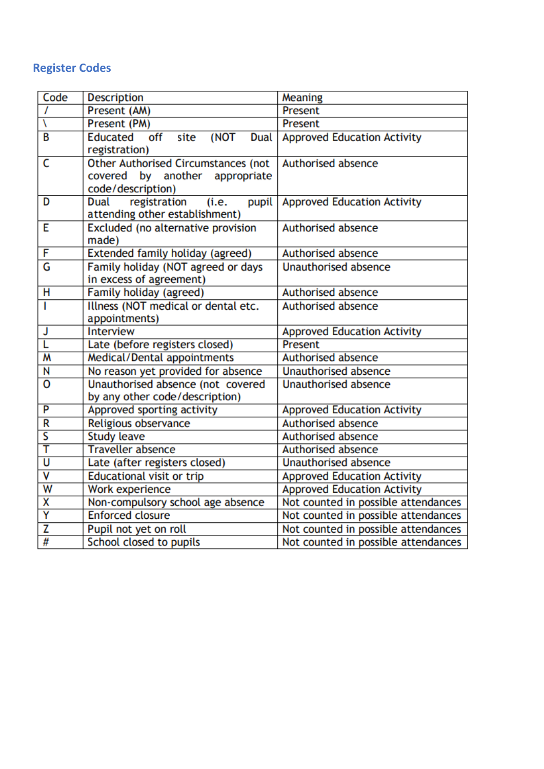# **Register Codes**

| Code                    | <b>Description</b>                                                                                | Meaning                             |
|-------------------------|---------------------------------------------------------------------------------------------------|-------------------------------------|
| $\prime$                | Present (AM)                                                                                      | Present                             |
| ١                       | Present (PM)                                                                                      | Present                             |
| B                       | Educated off<br>(NOT<br>site<br><b>Dual</b><br>registration)                                      | <b>Approved Education Activity</b>  |
| C                       | <b>Other Authorised Circumstances (not</b><br>covered by another appropriate<br>code/description) | <b>Authorised absence</b>           |
| D                       | registration<br>Dual<br>(i.e.<br>pupil<br>attending other establishment)                          | <b>Approved Education Activity</b>  |
| E                       | Excluded (no alternative provision<br>made)                                                       | <b>Authorised absence</b>           |
| F                       | Extended family holiday (agreed)                                                                  | Authorised absence                  |
| G                       | Family holiday (NOT agreed or days<br>in excess of agreement)                                     | <b>Unauthorised absence</b>         |
| н                       | Family holiday (agreed)                                                                           | <b>Authorised absence</b>           |
| I                       | Illness (NOT medical or dental etc.<br>appointments)                                              | <b>Authorised absence</b>           |
| J                       | <b>Interview</b>                                                                                  | <b>Approved Education Activity</b>  |
| L                       | Late (before registers closed)                                                                    | Present                             |
| $\overline{\mathsf{M}}$ | Medical/Dental appointments                                                                       | <b>Authorised absence</b>           |
| N                       | No reason yet provided for absence                                                                | <b>Unauthorised absence</b>         |
| $\overline{\mathbf{0}}$ | Unauthorised absence (not covered<br>by any other code/description)                               | <b>Unauthorised absence</b>         |
| P                       | Approved sporting activity                                                                        | <b>Approved Education Activity</b>  |
| R                       | Religious observance                                                                              | Authorised absence                  |
| S                       | <b>Study leave</b>                                                                                | Authorised absence                  |
| T                       | <b>Traveller absence</b>                                                                          | Authorised absence                  |
| $\overline{\mathsf{U}}$ | Late (after registers closed)                                                                     | <b>Unauthorised absence</b>         |
| $\overline{\mathsf{v}}$ | <b>Educational visit or trip</b>                                                                  | <b>Approved Education Activity</b>  |
| W                       | Work experience                                                                                   | <b>Approved Education Activity</b>  |
| X                       | Non-compulsory school age absence                                                                 | Not counted in possible attendances |
| Ÿ                       | <b>Enforced closure</b>                                                                           | Not counted in possible attendances |
| $\overline{z}$          | Pupil not yet on roll                                                                             | Not counted in possible attendances |
| #                       | School closed to pupils                                                                           | Not counted in possible attendances |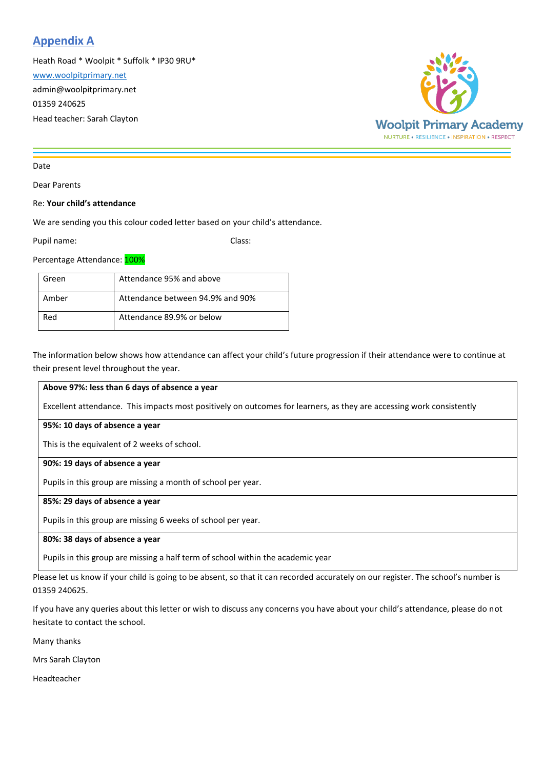### **Appendix A**

Heath Road \* Woolpit \* Suffolk \* IP30 9RU\*

[www.woolpitprimary.net](http://www.woolpitprimary.net/)

admin@woolpitprimary.net

01359 240625

Head teacher: Sarah Clayton



#### Date

Dear Parents

#### Re: **Your child's attendance**

We are sending you this colour coded letter based on your child's attendance.

Pupil name: Class:

Percentage Attendance: 100%

| Green | Attendance 95% and above         |
|-------|----------------------------------|
| Amber | Attendance between 94.9% and 90% |
| Red   | Attendance 89.9% or below        |

The information below shows how attendance can affect your child's future progression if their attendance were to continue at their present level throughout the year.

#### **Above 97%: less than 6 days of absence a year**

Excellent attendance. This impacts most positively on outcomes for learners, as they are accessing work consistently

#### **95%: 10 days of absence a year**

This is the equivalent of 2 weeks of school.

#### **90%: 19 days of absence a year**

Pupils in this group are missing a month of school per year.

#### **85%: 29 days of absence a year**

Pupils in this group are missing 6 weeks of school per year.

#### **80%: 38 days of absence a year**

Pupils in this group are missing a half term of school within the academic year

Please let us know if your child is going to be absent, so that it can recorded accurately on our register. The school's number is 01359 240625.

If you have any queries about this letter or wish to discuss any concerns you have about your child's attendance, please do not hesitate to contact the school.

Many thanks

Mrs Sarah Clayton

Headteacher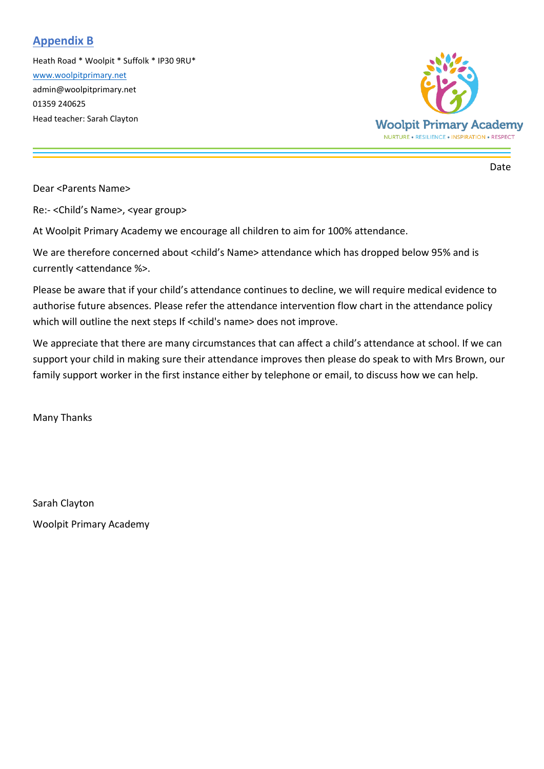### **Appendix B**

Heath Road \* Woolpit \* Suffolk \* IP30 9RU\* [www.woolpitprimary.net](http://www.woolpitprimary.net/) admin@woolpitprimary.net 01359 240625 Head teacher: Sarah Clayton



Date

Dear <Parents Name>

Re:- <Child's Name>, <year group>

At Woolpit Primary Academy we encourage all children to aim for 100% attendance.

We are therefore concerned about <child's Name> attendance which has dropped below 95% and is currently <attendance %>.

Please be aware that if your child's attendance continues to decline, we will require medical evidence to authorise future absences. Please refer the attendance intervention flow chart in the attendance policy which will outline the next steps If <child's name> does not improve.

We appreciate that there are many circumstances that can affect a child's attendance at school. If we can support your child in making sure their attendance improves then please do speak to with Mrs Brown, our family support worker in the first instance either by telephone or email, to discuss how we can help.

Many Thanks

Sarah Clayton Woolpit Primary Academy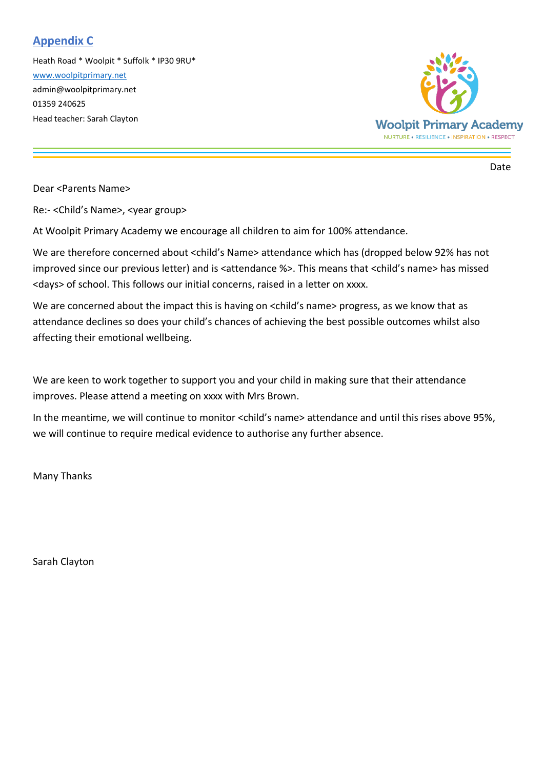### **Appendix C**

Heath Road \* Woolpit \* Suffolk \* IP30 9RU\* [www.woolpitprimary.net](http://www.woolpitprimary.net/) admin@woolpitprimary.net 01359 240625 Head teacher: Sarah Clayton



Date

Dear <Parents Name>

Re:- <Child's Name>, <year group>

At Woolpit Primary Academy we encourage all children to aim for 100% attendance.

We are therefore concerned about <child's Name> attendance which has (dropped below 92% has not improved since our previous letter) and is <attendance %>. This means that <child's name> has missed <days> of school. This follows our initial concerns, raised in a letter on xxxx.

We are concerned about the impact this is having on <child's name> progress, as we know that as attendance declines so does your child's chances of achieving the best possible outcomes whilst also affecting their emotional wellbeing.

We are keen to work together to support you and your child in making sure that their attendance improves. Please attend a meeting on xxxx with Mrs Brown.

In the meantime, we will continue to monitor <child's name> attendance and until this rises above 95%, we will continue to require medical evidence to authorise any further absence.

Many Thanks

Sarah Clayton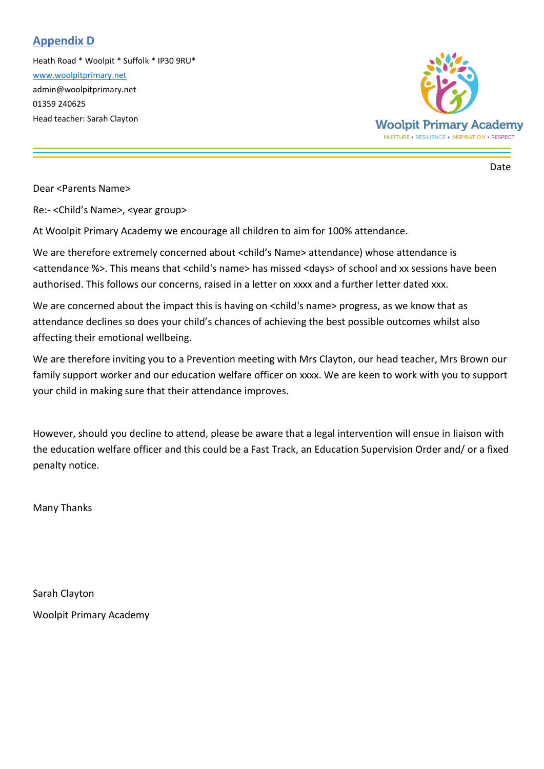### **Appendix D**

Heath Road \* Woolpit \* Suffolk \* IP30 9RU\* [www.woolpitprimary.net](http://www.woolpitprimary.net/) admin@woolpitprimary.net 01359 240625 Head teacher: Sarah Clayton



Date

Dear <Parents Name>

Re:- <Child's Name>, <year group>

At Woolpit Primary Academy we encourage all children to aim for 100% attendance.

We are therefore extremely concerned about <child's Name> attendance) whose attendance is <attendance %>. This means that <child's name> has missed <days> of school and xx sessions have been authorised. This follows our concerns, raised in a letter on xxxx and a further letter dated xxx.

We are concerned about the impact this is having on <child's name> progress, as we know that as attendance declines so does your child's chances of achieving the best possible outcomes whilst also affecting their emotional wellbeing.

We are therefore inviting you to a Prevention meeting with Mrs Clayton, our head teacher, Mrs Brown our family support worker and our education welfare officer on xxxx. We are keen to work with you to support your child in making sure that their attendance improves.

However, should you decline to attend, please be aware that a legal intervention will ensue in liaison with the education welfare officer and this could be a Fast Track, an Education Supervision Order and/ or a fixed penalty notice.

Many Thanks

Sarah Clayton Woolpit Primary Academy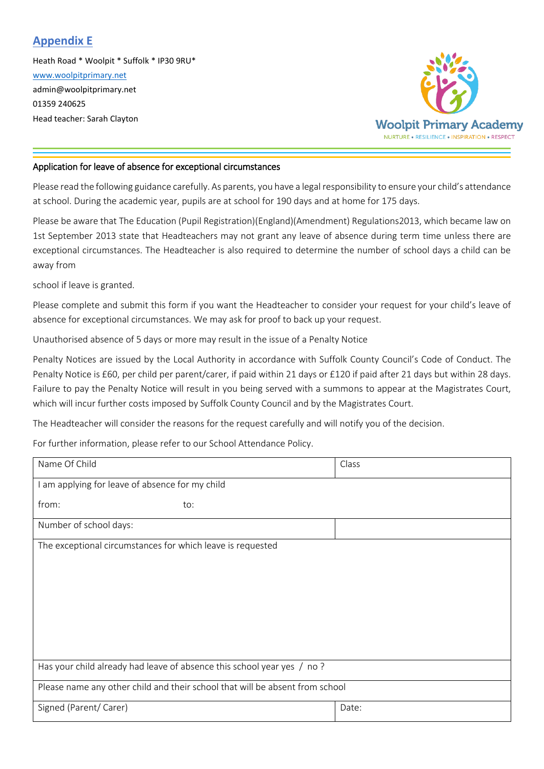### **Appendix E**

Heath Road \* Woolpit \* Suffolk \* IP30 9RU\* [www.woolpitprimary.net](http://www.woolpitprimary.net/) admin@woolpitprimary.net 01359 240625 Head teacher: Sarah Clayton



#### Application for leave of absence for exceptional circumstances

Please read the following guidance carefully. As parents, you have a legal responsibility to ensure your child's attendance at school. During the academic year, pupils are at school for 190 days and at home for 175 days.

Please be aware that The Education (Pupil Registration)(England)(Amendment) Regulations2013, which became law on 1st September 2013 state that Headteachers may not grant any leave of absence during term time unless there are exceptional circumstances. The Headteacher is also required to determine the number of school days a child can be away from

school if leave is granted.

Please complete and submit this form if you want the Headteacher to consider your request for your child's leave of absence for exceptional circumstances. We may ask for proof to back up your request.

Unauthorised absence of 5 days or more may result in the issue of a Penalty Notice

Penalty Notices are issued by the Local Authority in accordance with Suffolk County Council's Code of Conduct. The Penalty Notice is £60, per child per parent/carer, if paid within 21 days or £120 if paid after 21 days but within 28 days. Failure to pay the Penalty Notice will result in you being served with a summons to appear at the Magistrates Court, which will incur further costs imposed by Suffolk County Council and by the Magistrates Court.

The Headteacher will consider the reasons for the request carefully and will notify you of the decision.

For further information, please refer to our School Attendance Policy.

| Name Of Child                                                                | Class |  |  |  |
|------------------------------------------------------------------------------|-------|--|--|--|
| I am applying for leave of absence for my child                              |       |  |  |  |
| from:<br>to:                                                                 |       |  |  |  |
| Number of school days:                                                       |       |  |  |  |
| The exceptional circumstances for which leave is requested                   |       |  |  |  |
|                                                                              |       |  |  |  |
|                                                                              |       |  |  |  |
|                                                                              |       |  |  |  |
|                                                                              |       |  |  |  |
|                                                                              |       |  |  |  |
|                                                                              |       |  |  |  |
| Has your child already had leave of absence this school year yes / no ?      |       |  |  |  |
| Please name any other child and their school that will be absent from school |       |  |  |  |
| Signed (Parent/ Carer)                                                       | Date: |  |  |  |